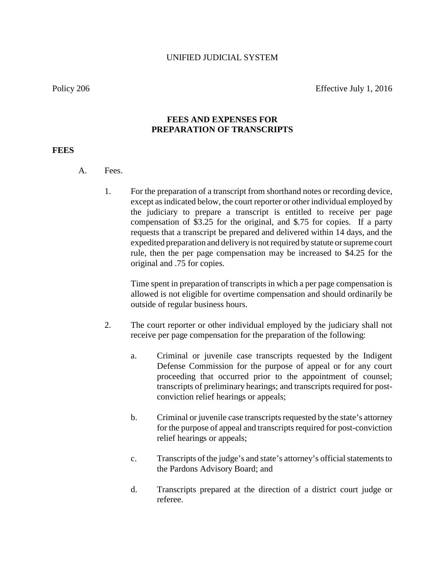Policy 206 Effective July 1, 2016

## **FEES AND EXPENSES FOR PREPARATION OF TRANSCRIPTS**

## **FEES**

- A. Fees.
	- 1. For the preparation of a transcript from shorthand notes or recording device, except as indicated below, the court reporter or other individual employed by the judiciary to prepare a transcript is entitled to receive per page compensation of \$3.25 for the original, and \$.75 for copies. If a party requests that a transcript be prepared and delivered within 14 days, and the expedited preparation and deliveryis not required by statute or supreme court rule, then the per page compensation may be increased to \$4.25 for the original and .75 for copies.

Time spent in preparation of transcripts in which a per page compensation is allowed is not eligible for overtime compensation and should ordinarily be outside of regular business hours.

- 2. The court reporter or other individual employed by the judiciary shall not receive per page compensation for the preparation of the following:
	- a. Criminal or juvenile case transcripts requested by the Indigent Defense Commission for the purpose of appeal or for any court proceeding that occurred prior to the appointment of counsel; transcripts of preliminary hearings; and transcripts required for postconviction relief hearings or appeals;
	- b. Criminal or juvenile case transcripts requested by the state's attorney for the purpose of appeal and transcripts required for post-conviction relief hearings or appeals;
	- c. Transcripts of the judge's and state's attorney's official statements to the Pardons Advisory Board; and
	- d. Transcripts prepared at the direction of a district court judge or referee.